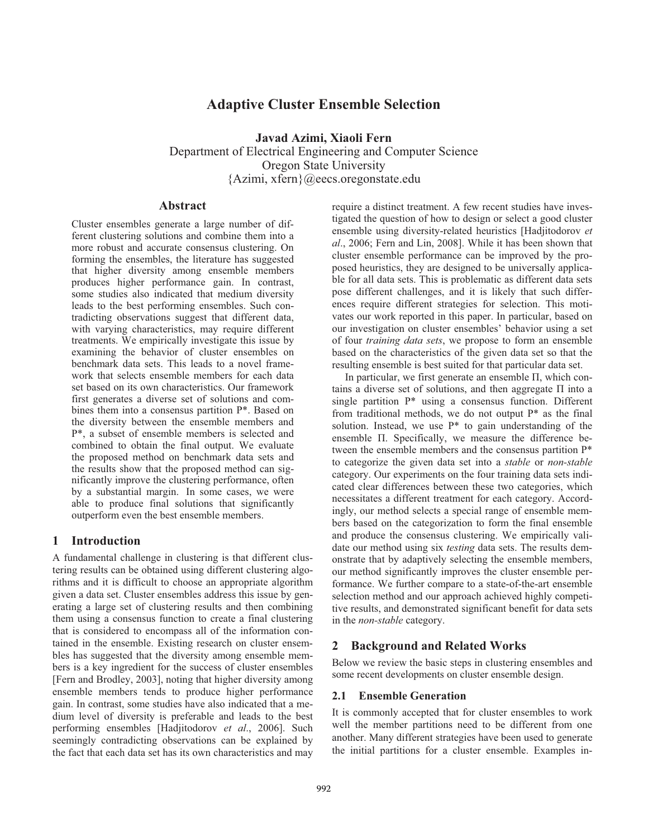# **Adaptive Cluster Ensemble Selection**

**Javad Azimi, Xiaoli Fern**  Department of Electrical Engineering and Computer Science Oregon State University {Azimi, xfern}@eecs.oregonstate.edu

## **Abstract**

Cluster ensembles generate a large number of different clustering solutions and combine them into a more robust and accurate consensus clustering. On forming the ensembles, the literature has suggested that higher diversity among ensemble members produces higher performance gain. In contrast, some studies also indicated that medium diversity leads to the best performing ensembles. Such contradicting observations suggest that different data, with varying characteristics, may require different treatments. We empirically investigate this issue by examining the behavior of cluster ensembles on benchmark data sets. This leads to a novel framework that selects ensemble members for each data set based on its own characteristics. Our framework first generates a diverse set of solutions and combines them into a consensus partition P\*. Based on the diversity between the ensemble members and P\*, a subset of ensemble members is selected and combined to obtain the final output. We evaluate the proposed method on benchmark data sets and the results show that the proposed method can significantly improve the clustering performance, often by a substantial margin. In some cases, we were able to produce final solutions that significantly outperform even the best ensemble members.

## **1 Introduction**

A fundamental challenge in clustering is that different clustering results can be obtained using different clustering algorithms and it is difficult to choose an appropriate algorithm given a data set. Cluster ensembles address this issue by generating a large set of clustering results and then combining them using a consensus function to create a final clustering that is considered to encompass all of the information contained in the ensemble. Existing research on cluster ensembles has suggested that the diversity among ensemble members is a key ingredient for the success of cluster ensembles [Fern and Brodley, 2003], noting that higher diversity among ensemble members tends to produce higher performance gain. In contrast, some studies have also indicated that a medium level of diversity is preferable and leads to the best performing ensembles [Hadjitodorov *et al*., 2006]. Such seemingly contradicting observations can be explained by the fact that each data set has its own characteristics and may

require a distinct treatment. A few recent studies have investigated the question of how to design or select a good cluster ensemble using diversity-related heuristics [Hadjitodorov *et al*., 2006; Fern and Lin, 2008]. While it has been shown that cluster ensemble performance can be improved by the proposed heuristics, they are designed to be universally applicable for all data sets. This is problematic as different data sets pose different challenges, and it is likely that such differences require different strategies for selection. This motivates our work reported in this paper. In particular, based on our investigation on cluster ensembles' behavior using a set of four *training data sets*, we propose to form an ensemble based on the characteristics of the given data set so that the resulting ensemble is best suited for that particular data set.

In particular, we first generate an ensemble  $\Pi$ , which contains a diverse set of solutions, and then aggregate  $\Pi$  into a single partition P\* using a consensus function. Different from traditional methods, we do not output P\* as the final solution. Instead, we use P\* to gain understanding of the ensemble  $\Pi$ . Specifically, we measure the difference between the ensemble members and the consensus partition P\* to categorize the given data set into a *stable* or *non-stable* category. Our experiments on the four training data sets indicated clear differences between these two categories, which necessitates a different treatment for each category. Accordingly, our method selects a special range of ensemble members based on the categorization to form the final ensemble and produce the consensus clustering. We empirically validate our method using six *testing* data sets. The results demonstrate that by adaptively selecting the ensemble members, our method significantly improves the cluster ensemble performance. We further compare to a state-of-the-art ensemble selection method and our approach achieved highly competitive results, and demonstrated significant benefit for data sets in the *non-stable* category.

## **2 Background and Related Works**

Below we review the basic steps in clustering ensembles and some recent developments on cluster ensemble design.

### **2.1 Ensemble Generation**

It is commonly accepted that for cluster ensembles to work well the member partitions need to be different from one another. Many different strategies have been used to generate the initial partitions for a cluster ensemble. Examples in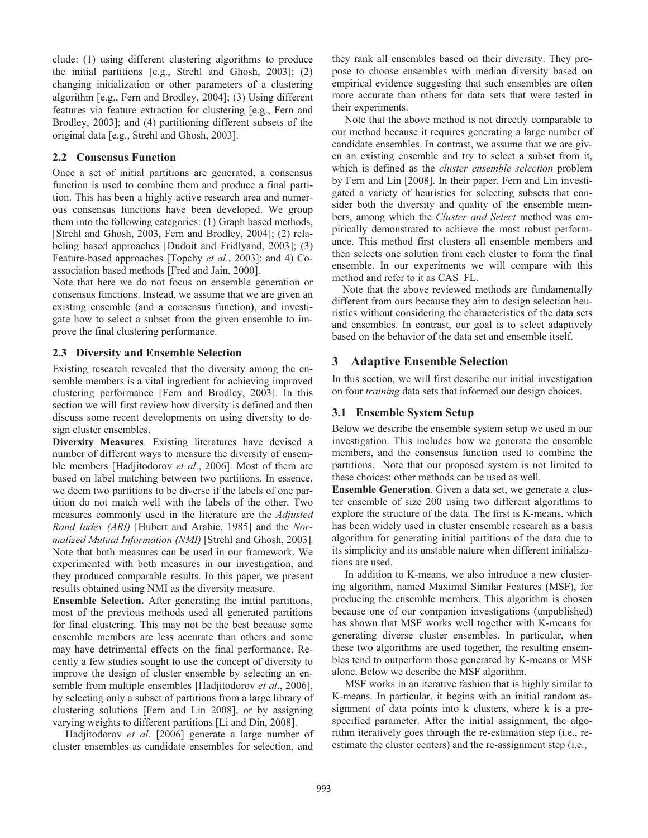clude: (1) using different clustering algorithms to produce the initial partitions [e.g., Strehl and Ghosh, 2003]; (2) changing initialization or other parameters of a clustering algorithm [e.g., Fern and Brodley, 2004]; (3) Using different features via feature extraction for clustering [e.g., Fern and Brodley, 2003]; and (4) partitioning different subsets of the original data [e.g., Strehl and Ghosh, 2003].

### **2.2 Consensus Function**

Once a set of initial partitions are generated, a consensus function is used to combine them and produce a final partition. This has been a highly active research area and numerous consensus functions have been developed. We group them into the following categories: (1) Graph based methods, [Strehl and Ghosh, 2003, Fern and Brodley, 2004]; (2) relabeling based approaches [Dudoit and Fridlyand, 2003]; (3) Feature-based approaches [Topchy *et al*., 2003]; and 4) Coassociation based methods [Fred and Jain, 2000].

Note that here we do not focus on ensemble generation or consensus functions. Instead, we assume that we are given an existing ensemble (and a consensus function), and investigate how to select a subset from the given ensemble to improve the final clustering performance.

### **2.3 Diversity and Ensemble Selection**

Existing research revealed that the diversity among the ensemble members is a vital ingredient for achieving improved clustering performance [Fern and Brodley, 2003]. In this section we will first review how diversity is defined and then discuss some recent developments on using diversity to design cluster ensembles.

**Diversity Measures**. Existing literatures have devised a number of different ways to measure the diversity of ensemble members [Hadjitodorov *et al*., 2006]. Most of them are based on label matching between two partitions. In essence, we deem two partitions to be diverse if the labels of one partition do not match well with the labels of the other. Two measures commonly used in the literature are the *Adjusted Rand Index (ARI)* [Hubert and Arabie, 1985] and the *Normalized Mutual Information (NMI)* [Strehl and Ghosh, 2003]. Note that both measures can be used in our framework. We experimented with both measures in our investigation, and they produced comparable results. In this paper, we present results obtained using NMI as the diversity measure.

**Ensemble Selection.** After generating the initial partitions, most of the previous methods used all generated partitions for final clustering. This may not be the best because some ensemble members are less accurate than others and some may have detrimental effects on the final performance. Recently a few studies sought to use the concept of diversity to improve the design of cluster ensemble by selecting an ensemble from multiple ensembles [Hadjitodorov *et al*., 2006], by selecting only a subset of partitions from a large library of clustering solutions [Fern and Lin 2008], or by assigning varying weights to different partitions [Li and Din, 2008].

Hadjitodorov *et al*. [2006] generate a large number of cluster ensembles as candidate ensembles for selection, and

they rank all ensembles based on their diversity. They propose to choose ensembles with median diversity based on empirical evidence suggesting that such ensembles are often more accurate than others for data sets that were tested in their experiments.

Note that the above method is not directly comparable to our method because it requires generating a large number of candidate ensembles. In contrast, we assume that we are given an existing ensemble and try to select a subset from it, which is defined as the *cluster ensemble selection* problem by Fern and Lin [2008]. In their paper, Fern and Lin investigated a variety of heuristics for selecting subsets that consider both the diversity and quality of the ensemble members, among which the *Cluster and Select* method was empirically demonstrated to achieve the most robust performance. This method first clusters all ensemble members and then selects one solution from each cluster to form the final ensemble. In our experiments we will compare with this method and refer to it as CAS\_FL.

 Note that the above reviewed methods are fundamentally different from ours because they aim to design selection heuristics without considering the characteristics of the data sets and ensembles. In contrast, our goal is to select adaptively based on the behavior of the data set and ensemble itself.

## **3 Adaptive Ensemble Selection**

In this section, we will first describe our initial investigation on four *training* data sets that informed our design choices.

## **3.1 Ensemble System Setup**

Below we describe the ensemble system setup we used in our investigation. This includes how we generate the ensemble members, and the consensus function used to combine the partitions. Note that our proposed system is not limited to these choices; other methods can be used as well.

**Ensemble Generation**. Given a data set, we generate a cluster ensemble of size 200 using two different algorithms to explore the structure of the data. The first is K-means, which has been widely used in cluster ensemble research as a basis algorithm for generating initial partitions of the data due to its simplicity and its unstable nature when different initializations are used.

In addition to K-means, we also introduce a new clustering algorithm, named Maximal Similar Features (MSF), for producing the ensemble members. This algorithm is chosen because one of our companion investigations (unpublished) has shown that MSF works well together with K-means for generating diverse cluster ensembles. In particular, when these two algorithms are used together, the resulting ensembles tend to outperform those generated by K-means or MSF alone. Below we describe the MSF algorithm.

MSF works in an iterative fashion that is highly similar to K-means. In particular, it begins with an initial random assignment of data points into k clusters, where k is a prespecified parameter. After the initial assignment, the algorithm iteratively goes through the re-estimation step (i.e., reestimate the cluster centers) and the re-assignment step (i.e.,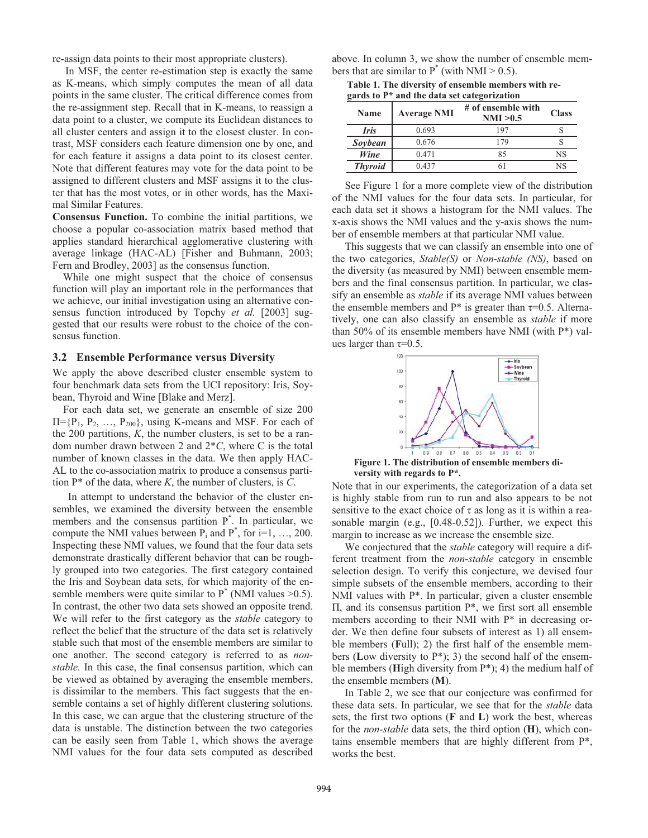re-assign data points to their most appropriate clusters).

In MSF, the center re-estimation step is exactly the same as K-means, which simply computes the mean of all data points in the same cluster. The critical difference comes from the re-assignment step. Recall that in K-means, to reassign a data point to a cluster, we compute its Euclidean distances to all cluster centers and assign it to the closest cluster. In contrast, MSF considers each feature dimension one by one, and for each feature it assigns a data point to its closest center. Note that different features may vote for the data point to be assigned to different clusters and MSF assigns it to the cluster that has the most votes, or in other words, has the Maximal Similar Features.

**Consensus Function.** To combine the initial partitions, we choose a popular co-association matrix based method that applies standard hierarchical agglomerative clustering with average linkage (HAC-AL) [Fisher and Buhmann, 2003; Fern and Brodley, 2003] as the consensus function.

 While one might suspect that the choice of consensus function will play an important role in the performances that we achieve, our initial investigation using an alternative consensus function introduced by Topchy *et al.* [2003] suggested that our results were robust to the choice of the consensus function.

#### **3.2 Ensemble Performance versus Diversity**

We apply the above described cluster ensemble system to four benchmark data sets from the UCI repository: Iris, Soybean, Thyroid and Wine [Blake and Merz].

For each data set, we generate an ensemble of size 200  $\Pi = \{P_1, P_2, \ldots, P_{200}\},$  using K-means and MSF. For each of the 200 partitions, *K*, the number clusters, is set to be a random number drawn between 2 and 2\**C*, where C is the total number of known classes in the data. We then apply HAC-AL to the co-association matrix to produce a consensus partition P\* of the data, where *K*, the number of clusters, is *C*.

 In attempt to understand the behavior of the cluster ensembles, we examined the diversity between the ensemble members and the consensus partition  $P^*$ . In particular, we compute the NMI values between  $P_i$  and  $P^*$ , for i=1, ..., 200. Inspecting these NMI values, we found that the four data sets demonstrate drastically different behavior that can be roughly grouped into two categories. The first category contained the Iris and Soybean data sets, for which majority of the ensemble members were quite similar to  $P^*$  (NMI values >0.5). In contrast, the other two data sets showed an opposite trend. We will refer to the first category as the *stable* category to reflect the belief that the structure of the data set is relatively stable such that most of the ensemble members are similar to one another. The second category is referred to as *nonstable.* In this case, the final consensus partition, which can be viewed as obtained by averaging the ensemble members, is dissimilar to the members. This fact suggests that the ensemble contains a set of highly different clustering solutions. In this case, we can argue that the clustering structure of the data is unstable. The distinction between the two categories can be easily seen from Table 1, which shows the average NMI values for the four data sets computed as described

above. In column 3, we show the number of ensemble members that are similar to  $P^*$  (with NMI > 0.5).

**Table 1. The diversity of ensemble members with regards to P\* and the data set categorization**

| <b>Name</b>    | <b>Average NMI</b> | # of ensemble with<br>NMI > 0.5 | <b>Class</b> |
|----------------|--------------------|---------------------------------|--------------|
| <b>Iris</b>    | 0.693              | 197                             |              |
| Soybean        | 0.676              | 179                             |              |
| Wine           | 0.471              | 85                              | NS           |
| <b>Thyroid</b> | 0.437              |                                 | NS           |

See Figure 1 for a more complete view of the distribution of the NMI values for the four data sets. In particular, for each data set it shows a histogram for the NMI values. The x-axis shows the NMI values and the y-axis shows the number of ensemble members at that particular NMI value.

This suggests that we can classify an ensemble into one of the two categories, *Stable(S)* or *Non-stable (NS)*, based on the diversity (as measured by NMI) between ensemble members and the final consensus partition. In particular, we classify an ensemble as *stable* if its average NMI values between the ensemble members and  $P^*$  is greater than  $\tau=0.5$ . Alternatively, one can also classify an ensemble as *stable* if more than 50% of its ensemble members have NMI (with P\*) values larger than  $\tau = 0.5$ .



**Figure 1. The distribution of ensemble members diversity with regards to P\*.** 

Note that in our experiments, the categorization of a data set is highly stable from run to run and also appears to be not sensitive to the exact choice of  $\tau$  as long as it is within a reasonable margin (e.g., [0.48-0.52]). Further, we expect this margin to increase as we increase the ensemble size.

We conjectured that the *stable* category will require a different treatment from the *non-stable* category in ensemble selection design. To verify this conjecture, we devised four simple subsets of the ensemble members, according to their NMI values with P\*. In particular, given a cluster ensemble  $\Pi$ , and its consensus partition  $P^*$ , we first sort all ensemble members according to their NMI with P\* in decreasing order. We then define four subsets of interest as 1) all ensemble members (**F**ull); 2) the first half of the ensemble members (**L**ow diversity to P\*); 3) the second half of the ensemble members (**H**igh diversity from P\*); 4) the medium half of the ensemble members (**M**).

In Table 2, we see that our conjecture was confirmed for these data sets. In particular, we see that for the *stable* data sets, the first two options (**F** and **L**) work the best, whereas for the *non-stable* data sets, the third option (**H**), which contains ensemble members that are highly different from P\*, works the best.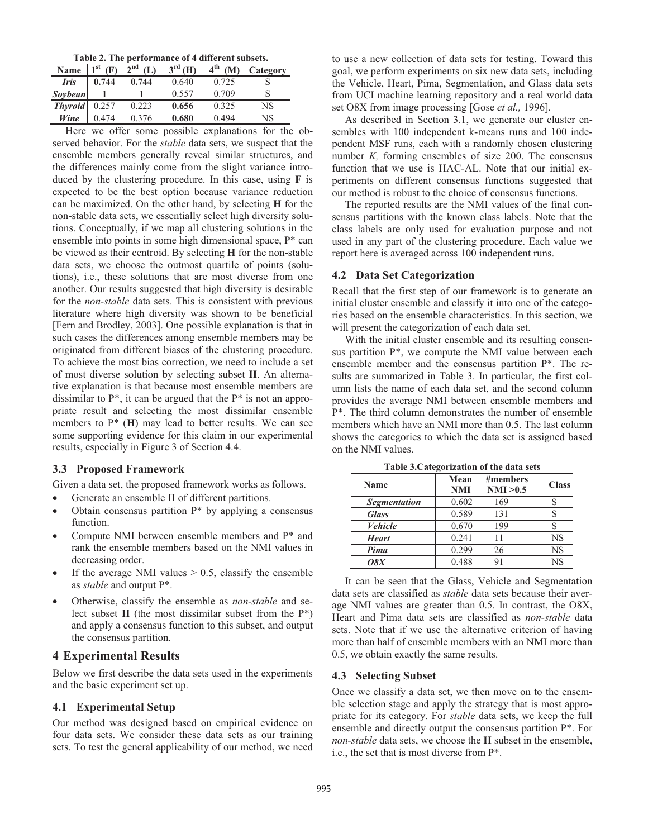**Table 2. The performance of 4 different subsets.** 

| Name           | 1 st  | 2 <sub>nd</sub> | 2 <sup>rd</sup><br>(H) | 4 <sup>th</sup> | Category |
|----------------|-------|-----------------|------------------------|-----------------|----------|
| <b>Iris</b>    | 0.744 | 0.744           | 0.640                  | 0.725           |          |
| <b>Soybean</b> |       |                 | 0.557                  | 0.709           |          |
| <b>Thyroid</b> | 0.257 | 0.223           | 0.656                  | 0.325           | NS       |
| Wine           |       | 0.376           | 0.680                  | 0.494           | NS       |

Here we offer some possible explanations for the observed behavior. For the *stable* data sets, we suspect that the ensemble members generally reveal similar structures, and the differences mainly come from the slight variance introduced by the clustering procedure. In this case, using **F** is expected to be the best option because variance reduction can be maximized. On the other hand, by selecting **H** for the non-stable data sets, we essentially select high diversity solutions. Conceptually, if we map all clustering solutions in the ensemble into points in some high dimensional space, P\* can be viewed as their centroid. By selecting **H** for the non-stable data sets, we choose the outmost quartile of points (solutions), i.e., these solutions that are most diverse from one another. Our results suggested that high diversity is desirable for the *non-stable* data sets. This is consistent with previous literature where high diversity was shown to be beneficial [Fern and Brodley, 2003]. One possible explanation is that in such cases the differences among ensemble members may be originated from different biases of the clustering procedure. To achieve the most bias correction, we need to include a set of most diverse solution by selecting subset **H**. An alternative explanation is that because most ensemble members are dissimilar to  $P^*$ , it can be argued that the  $P^*$  is not an appropriate result and selecting the most dissimilar ensemble members to  $P^*$  (**H**) may lead to better results. We can see some supporting evidence for this claim in our experimental results, especially in Figure 3 of Section 4.4.

#### **3.3 Proposed Framework**

Given a data set, the proposed framework works as follows.

- -Generate an ensemble  $\Pi$  of different partitions.
- -Obtain consensus partition  $P^*$  by applying a consensus function.
- - Compute NMI between ensemble members and P\* and rank the ensemble members based on the NMI values in decreasing order.
- -If the average NMI values  $> 0.5$ , classify the ensemble as *stable* and output P\*.
- - Otherwise, classify the ensemble as *non-stable* and select subset **H** (the most dissimilar subset from the P\*) and apply a consensus function to this subset, and output the consensus partition.

## **4 Experimental Results**

Below we first describe the data sets used in the experiments and the basic experiment set up.

### **4.1 Experimental Setup**

Our method was designed based on empirical evidence on four data sets. We consider these data sets as our training sets. To test the general applicability of our method, we need to use a new collection of data sets for testing. Toward this goal, we perform experiments on six new data sets, including the Vehicle, Heart, Pima, Segmentation, and Glass data sets from UCI machine learning repository and a real world data set O8X from image processing [Gose *et al.,* 1996].

As described in Section 3.1, we generate our cluster ensembles with 100 independent k-means runs and 100 independent MSF runs, each with a randomly chosen clustering number *K,* forming ensembles of size 200. The consensus function that we use is HAC-AL. Note that our initial experiments on different consensus functions suggested that our method is robust to the choice of consensus functions.

The reported results are the NMI values of the final consensus partitions with the known class labels. Note that the class labels are only used for evaluation purpose and not used in any part of the clustering procedure. Each value we report here is averaged across 100 independent runs.

### **4.2 Data Set Categorization**

Recall that the first step of our framework is to generate an initial cluster ensemble and classify it into one of the categories based on the ensemble characteristics. In this section, we will present the categorization of each data set.

With the initial cluster ensemble and its resulting consensus partition P\*, we compute the NMI value between each ensemble member and the consensus partition P\*. The results are summarized in Table 3. In particular, the first column lists the name of each data set, and the second column provides the average NMI between ensemble members and P\*. The third column demonstrates the number of ensemble members which have an NMI more than 0.5. The last column shows the categories to which the data set is assigned based on the NMI values.

| Name                | Mean<br><b>NMI</b> | $#$ members<br>NMI > 0.5 | <b>Class</b> |
|---------------------|--------------------|--------------------------|--------------|
| <b>Segmentation</b> | 0.602              | 169                      |              |
| <b>Glass</b>        | 0.589              | 131                      |              |
| <b>Vehicle</b>      | 0.670              | 199                      |              |
| <b>Heart</b>        | 0.241              | 11                       | NS           |
| Pima                | 0.299              | 26                       | NS           |
| $\boldsymbol{O8}X$  | 0.488              |                          | NS           |

**Table 3.Categorization of the data sets**

It can be seen that the Glass, Vehicle and Segmentation data sets are classified as *stable* data sets because their average NMI values are greater than 0.5. In contrast, the O8X, Heart and Pima data sets are classified as *non-stable* data sets. Note that if we use the alternative criterion of having more than half of ensemble members with an NMI more than 0.5, we obtain exactly the same results.

#### **4.3 Selecting Subset**

Once we classify a data set, we then move on to the ensemble selection stage and apply the strategy that is most appropriate for its category. For *stable* data sets, we keep the full ensemble and directly output the consensus partition P\*. For *non-stable* data sets, we choose the **H** subset in the ensemble, i.e., the set that is most diverse from P\*.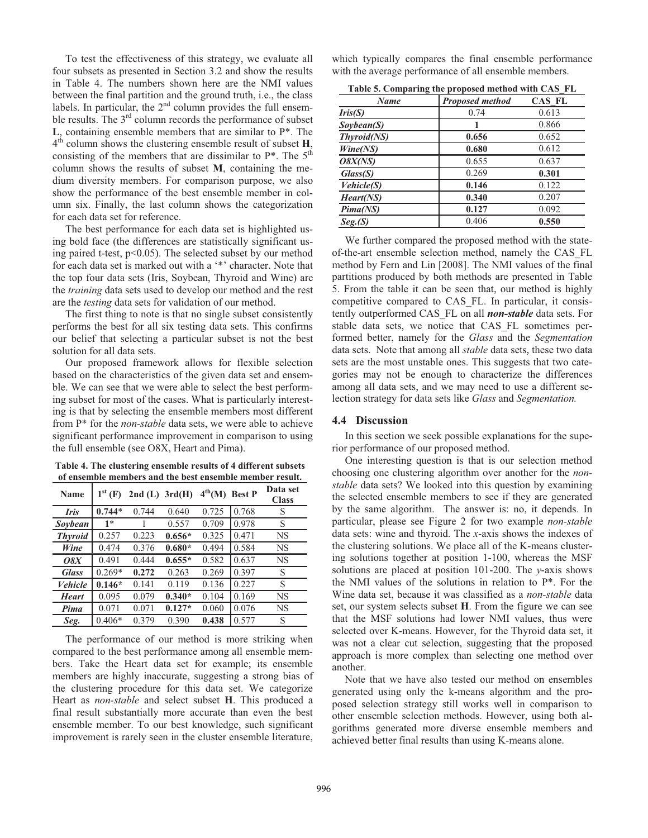To test the effectiveness of this strategy, we evaluate all four subsets as presented in Section 3.2 and show the results in Table 4. The numbers shown here are the NMI values between the final partition and the ground truth, i.e., the class labels. In particular, the  $2<sup>nd</sup>$  column provides the full ensemble results. The 3<sup>rd</sup> column records the performance of subset **L**, containing ensemble members that are similar to P\*. The 4th column shows the clustering ensemble result of subset **H**, consisting of the members that are dissimilar to  $P^*$ . The  $5<sup>th</sup>$ column shows the results of subset **M**, containing the medium diversity members. For comparison purpose, we also show the performance of the best ensemble member in column six. Finally, the last column shows the categorization for each data set for reference.

The best performance for each data set is highlighted using bold face (the differences are statistically significant using paired t-test,  $p<0.05$ ). The selected subset by our method for each data set is marked out with a '\*' character. Note that the top four data sets (Iris, Soybean, Thyroid and Wine) are the *training* data sets used to develop our method and the rest are the *testing* data sets for validation of our method.

The first thing to note is that no single subset consistently performs the best for all six testing data sets. This confirms our belief that selecting a particular subset is not the best solution for all data sets.

Our proposed framework allows for flexible selection based on the characteristics of the given data set and ensemble. We can see that we were able to select the best performing subset for most of the cases. What is particularly interesting is that by selecting the ensemble members most different from P\* for the *non-stable* data sets, we were able to achieve significant performance improvement in comparison to using the full ensemble (see O8X, Heart and Pima).

**Table 4. The clustering ensemble results of 4 different subsets of ensemble members and the best ensemble member result.** 

| <b>Name</b>       | $1^{\rm st}$ (F) | $2nd(L)$ $3rd(H)$ |          | $4th(M)$ Best P |       | Data set<br><b>Class</b> |
|-------------------|------------------|-------------------|----------|-----------------|-------|--------------------------|
| <b>Iris</b>       | $0.744*$         | 0.744             | 0.640    | 0.725           | 0.768 | S                        |
| Soybean           | $1*$             |                   | 0.557    | 0.709           | 0.978 | S                        |
| <b>Thyroid</b>    | 0.257            | 0.223             | $0.656*$ | 0.325           | 0.471 | NS                       |
| Wine              | 0.474            | 0.376             | $0.680*$ | 0.494           | 0.584 | NS                       |
| <i><b>O8X</b></i> | 0.491            | 0.444             | $0.655*$ | 0.582           | 0.637 | <b>NS</b>                |
| <b>Glass</b>      | $0.269*$         | 0.272             | 0.263    | 0.269           | 0.397 | S                        |
| <b>Vehicle</b>    | $0.146*$         | 0.141             | 0.119    | 0.136           | 0.227 | S                        |
| <b>Heart</b>      | 0.095            | 0.079             | $0.340*$ | 0.104           | 0.169 | <b>NS</b>                |
| Pima              | 0.071            | 0.071             | $0.127*$ | 0.060           | 0.076 | <b>NS</b>                |
| Seg.              | $0.406*$         | 0.379             | 0.390    | 0.438           | 0.577 | S                        |

The performance of our method is more striking when compared to the best performance among all ensemble members. Take the Heart data set for example; its ensemble members are highly inaccurate, suggesting a strong bias of the clustering procedure for this data set. We categorize Heart as *non-stable* and select subset **H**. This produced a final result substantially more accurate than even the best ensemble member. To our best knowledge, such significant improvement is rarely seen in the cluster ensemble literature,

which typically compares the final ensemble performance with the average performance of all ensemble members.

**Table 5. Comparing the proposed method with CAS\_FL**

| Name               | Proposed method | <b>CAS FL</b> |
|--------------------|-----------------|---------------|
| Tris(S)            | 0.74            | 0.613         |
| Sovbean(S)         |                 | 0.866         |
| <b>Thyroid(NS)</b> | 0.656           | 0.652         |
| Wine(NS)           | 0.680           | 0.612         |
| O8X(NS)            | 0.655           | 0.637         |
| Glass(S)           | 0.269           | 0.301         |
| <i>Vehicle(S)</i>  | 0.146           | 0.122         |
| Heart(NS)          | 0.340           | 0.207         |
| Pima(NS)           | 0.127           | 0.092         |
| Seg. (S)           | 0.406           | 0.550         |

We further compared the proposed method with the stateof-the-art ensemble selection method, namely the CAS\_FL method by Fern and Lin [2008]. The NMI values of the final partitions produced by both methods are presented in Table 5. From the table it can be seen that, our method is highly competitive compared to CAS\_FL. In particular, it consistently outperformed CAS\_FL on all *non-stable* data sets. For stable data sets, we notice that CAS\_FL sometimes performed better, namely for the *Glass* and the *Segmentation* data sets. Note that among all *stable* data sets, these two data sets are the most unstable ones. This suggests that two categories may not be enough to characterize the differences among all data sets, and we may need to use a different selection strategy for data sets like *Glass* and *Segmentation.* 

### **4.4 Discussion**

In this section we seek possible explanations for the superior performance of our proposed method.

One interesting question is that is our selection method choosing one clustering algorithm over another for the *nonstable* data sets? We looked into this question by examining the selected ensemble members to see if they are generated by the same algorithm. The answer is: no, it depends. In particular, please see Figure 2 for two example *non-stable* data sets: wine and thyroid. The *x*-axis shows the indexes of the clustering solutions. We place all of the K-means clustering solutions together at position 1-100, whereas the MSF solutions are placed at position 101-200. The *y*-axis shows the NMI values of the solutions in relation to P\*. For the Wine data set, because it was classified as a *non-stable* data set, our system selects subset **H**. From the figure we can see that the MSF solutions had lower NMI values, thus were selected over K-means. However, for the Thyroid data set, it was not a clear cut selection, suggesting that the proposed approach is more complex than selecting one method over another.

Note that we have also tested our method on ensembles generated using only the k-means algorithm and the proposed selection strategy still works well in comparison to other ensemble selection methods. However, using both algorithms generated more diverse ensemble members and achieved better final results than using K-means alone.